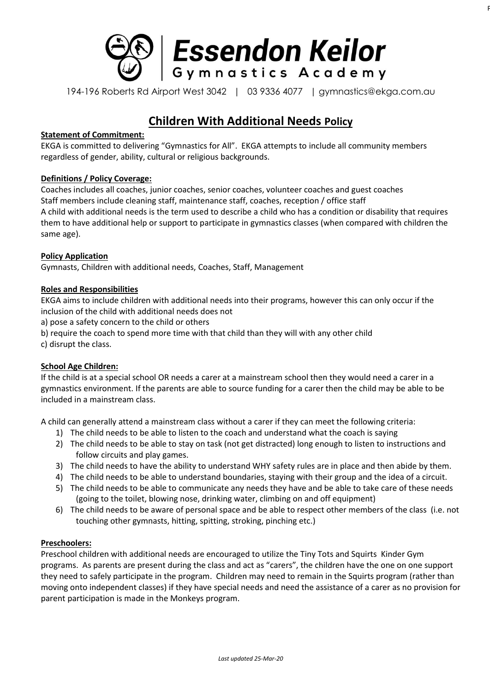

194-196 Roberts Rd Airport West 3042 | 03 9336 4077 | gymnastics@ekga.com.au

PO Box 148 Keilor East, 3033

# **Children With Additional Needs Policy**

## **Statement of Commitment:**

EKGA is committed to delivering "Gymnastics for All". EKGA attempts to include all community members regardless of gender, ability, cultural or religious backgrounds.

## **Definitions / Policy Coverage:**

Coaches includes all coaches, junior coaches, senior coaches, volunteer coaches and guest coaches Staff members include cleaning staff, maintenance staff, coaches, reception / office staff A child with additional needs is the term used to describe a child who has a condition or disability that requires them to have additional help or support to participate in gymnastics classes (when compared with children the same age).

## **Policy Application**

Gymnasts, Children with additional needs, Coaches, Staff, Management

## **Roles and Responsibilities**

EKGA aims to include children with additional needs into their programs, however this can only occur if the inclusion of the child with additional needs does not

a) pose a safety concern to the child or others

b) require the coach to spend more time with that child than they will with any other child

c) disrupt the class.

#### **School Age Children:**

If the child is at a special school OR needs a carer at a mainstream school then they would need a carer in a gymnastics environment. If the parents are able to source funding for a carer then the child may be able to be included in a mainstream class.

A child can generally attend a mainstream class without a carer if they can meet the following criteria:

- 1) The child needs to be able to listen to the coach and understand what the coach is saying
- 2) The child needs to be able to stay on task (not get distracted) long enough to listen to instructions and follow circuits and play games.
- 3) The child needs to have the ability to understand WHY safety rules are in place and then abide by them.
- 4) The child needs to be able to understand boundaries, staying with their group and the idea of a circuit.
- 5) The child needs to be able to communicate any needs they have and be able to take care of these needs (going to the toilet, blowing nose, drinking water, climbing on and off equipment)
- 6) The child needs to be aware of personal space and be able to respect other members of the class (i.e. not touching other gymnasts, hitting, spitting, stroking, pinching etc.)

#### **Preschoolers:**

Preschool children with additional needs are encouraged to utilize the Tiny Tots and Squirts Kinder Gym programs. As parents are present during the class and act as "carers", the children have the one on one support they need to safely participate in the program. Children may need to remain in the Squirts program (rather than moving onto independent classes) if they have special needs and need the assistance of a carer as no provision for parent participation is made in the Monkeys program.